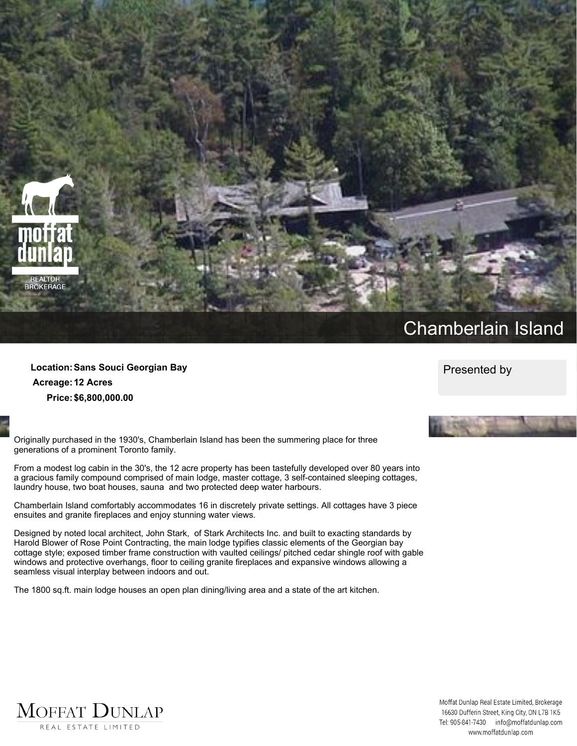

## **Chamberlain Island**

**Location:Sans Souci Georgian Bay Acreage:12 Acres Price:\$6,800,000.00**

**Originally purchased in the 1930's, Chamberlain Island has been the summering place for three generations of a prominent Toronto family.**

From a modest log cabin in the 30's, the 12 acre property has been tastefully developed over 80 years into **a gracious family compound comprised of main lodge, master cottage, 3 self-contained sleeping cottages, laundry house, two boat houses, sauna and two protected deep water harbours.**

**Chamberlain Island comfortably accommodates 16 in discretely private settings. All cottages have 3 piece ensuites and granite fireplaces and enjoy stunning water views.**

**Designed by noted local architect, John Stark, of Stark Architects Inc. and built to exacting standards by Harold Blower of Rose Point Contracting, the main lodge typifies classic elements of the Georgian bay cottage style; exposed timber frame construction with vaulted ceilings/ pitched cedar shingle roof with gable windows and protective overhangs, floor to ceiling granite fireplaces and expansive windows allowing a seamless visual interplay between indoors and out.**

**The 1800 sq.ft. main lodge houses an open plan dining/living area and a state of the art kitchen.**

**Presented by**





Moffat Dunlap Real Estate Limited, Brokerage 16630 Dufferin Street, King City, ON L7B 1K5 Tel: 905-841-7430 info@moffatdunlap.com www.moffatdunlap.com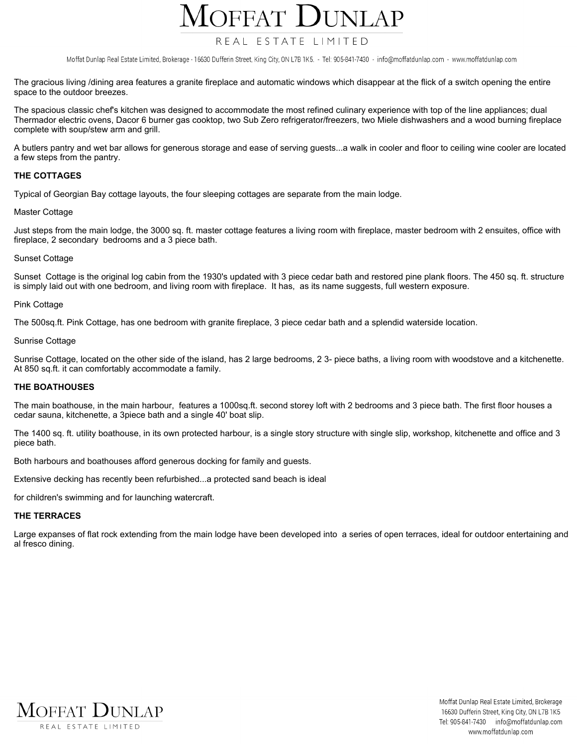### $D$ UNLAP  $\overline{OPFAT}$

### REAL ESTATE LIMITED

Moffat Dunlap Real Estate Limited, Brokerage - 16630 Dufferin Street, King City, ON L7B 1K5. - Tel: 905-841-7430 - info@moffatdunlap.com - www.moffatdunlap.com

The gracious living /dining area features a granite fireplace and automatic windows which disappear at the flick of a switch opening the entire **space to the outdoor breezes.**

The spacious classic chef's kitchen was designed to accommodate the most refined culinary experience with top of the line appliances; dual Thermador electric ovens, Dacor 6 burner gas cooktop, two Sub Zero refrigerator/freezers, two Miele dishwashers and a wood burning fireplace **complete with soup/stew arm and grill.**

A butlers pantry and wet bar allows for generous storage and ease of serving guests...a walk in cooler and floor to ceiling wine cooler are located **a few steps from the pantry.**

#### **THE COTTAGES**

**Typical of Georgian Bay cottage layouts, the four sleeping cottages are separate from the main lodge.**

#### **Master Cottage**

Just steps from the main lodge, the 3000 sq. ft. master cottage features a living room with fireplace, master bedroom with 2 ensuites, office with **fireplace, 2 secondary bedrooms and a 3 piece bath.**

#### **Sunset Cottage**

Sunset Cottage is the original log cabin from the 1930's updated with 3 piece cedar bath and restored pine plank floors. The 450 sq. ft. structure is simply laid out with one bedroom, and living room with fireplace. It has, as its name suggests, full western exposure.

#### **Pink Cottage**

The 500sq.ft. Pink Cottage, has one bedroom with granite fireplace, 3 piece cedar bath and a splendid waterside location.

#### **Sunrise Cottage**

Sunrise Cottage, located on the other side of the island, has 2 large bedrooms, 2 3- piece baths, a living room with woodstove and a kitchenette. **At 850 sq.ft. it can comfortably accommodate a family.**

#### **THE BOATHOUSES**

The main boathouse, in the main harbour, features a 1000sq.ft. second storey loft with 2 bedrooms and 3 piece bath. The first floor houses a **cedar sauna, kitchenette, a 3piece bath and a single 40' boat slip.**

The 1400 sq. ft. utility boathouse, in its own protected harbour, is a single story structure with single slip, workshop, kitchenette and office and 3 **piece bath.**

**Both harbours and boathouses afford generous docking for family and guests.**

**Extensive decking has recently been refurbished...a protected sand beach is ideal**

**for children's swimming and for launching watercraft.**

#### **THE TERRACES**

Large expanses of flat rock extending from the main lodge have been developed into a series of open terraces, ideal for outdoor entertaining and **al fresco dining.**



Moffat Dunlap Real Estate Limited, Brokerage 16630 Dufferin Street, King City, ON L7B 1K5 Tel: 905-841-7430 info@moffatdunlap.com www.moffatdunlap.com